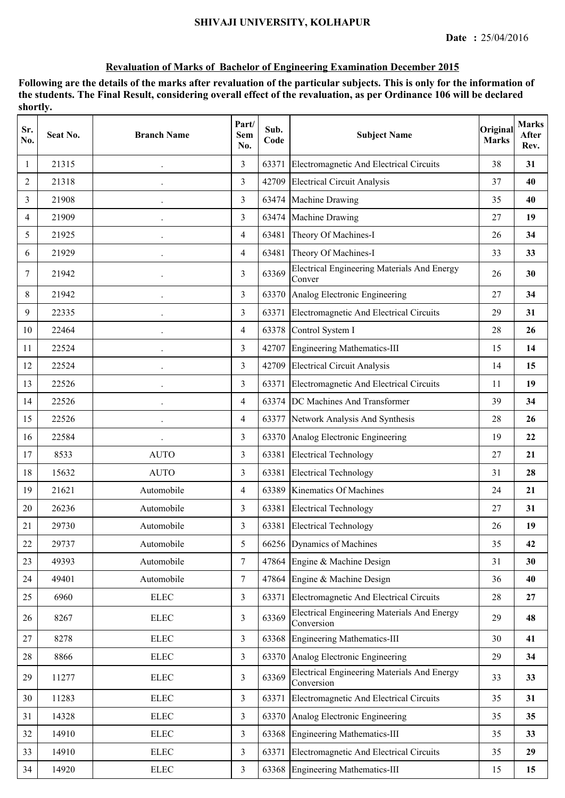| Sr.<br>No.     | Seat No. | <b>Branch Name</b> | Part/<br>Sem<br>No. | Sub.<br>Code | <b>Subject Name</b>                                              | Original<br><b>Marks</b> | <b>Marks</b><br>After<br>Rev. |
|----------------|----------|--------------------|---------------------|--------------|------------------------------------------------------------------|--------------------------|-------------------------------|
| 1              | 21315    |                    | 3                   | 63371        | Electromagnetic And Electrical Circuits                          | 38                       | 31                            |
| $\overline{2}$ | 21318    |                    | 3                   | 42709        | <b>Electrical Circuit Analysis</b>                               | 37                       | 40                            |
| 3              | 21908    |                    | 3                   | 63474        | Machine Drawing                                                  | 35                       | 40                            |
| 4              | 21909    |                    | 3                   | 63474        | Machine Drawing                                                  | 27                       | 19                            |
| 5              | 21925    |                    | $\overline{4}$      | 63481        | Theory Of Machines-I                                             | 26                       | 34                            |
| 6              | 21929    |                    | $\overline{4}$      | 63481        | Theory Of Machines-I                                             | 33                       | 33                            |
| 7              | 21942    |                    | 3                   | 63369        | <b>Electrical Engineering Materials And Energy</b><br>Conver     | 26                       | 30                            |
| 8              | 21942    |                    | 3                   | 63370        | Analog Electronic Engineering                                    | 27                       | 34                            |
| 9              | 22335    |                    | 3                   | 63371        | Electromagnetic And Electrical Circuits                          | 29                       | 31                            |
| 10             | 22464    |                    | $\overline{4}$      | 63378        | Control System I                                                 | 28                       | 26                            |
| 11             | 22524    |                    | 3                   | 42707        | Engineering Mathematics-III                                      | 15                       | 14                            |
| 12             | 22524    |                    | $\overline{3}$      |              | 42709 Electrical Circuit Analysis                                | 14                       | 15                            |
| 13             | 22526    |                    | 3                   | 63371        | Electromagnetic And Electrical Circuits                          | 11                       | 19                            |
| 14             | 22526    |                    | $\overline{4}$      | 63374        | DC Machines And Transformer                                      | 39                       | 34                            |
| 15             | 22526    |                    | 4                   | 63377        | Network Analysis And Synthesis                                   | 28                       | 26                            |
| 16             | 22584    |                    | 3                   | 63370        | Analog Electronic Engineering                                    | 19                       | 22                            |
| 17             | 8533     | <b>AUTO</b>        | 3                   | 63381        | <b>Electrical Technology</b>                                     | 27                       | 21                            |
| 18             | 15632    | <b>AUTO</b>        | 3                   | 63381        | <b>Electrical Technology</b>                                     | 31                       | 28                            |
| 19             | 21621    | Automobile         | $\overline{4}$      | 63389        | <b>Kinematics Of Machines</b>                                    | 24                       | 21                            |
| 20             | 26236    | Automobile         | 3                   | 63381        | <b>Electrical Technology</b>                                     | 27                       | 31                            |
| 21             | 29730    | Automobile         | 3                   | 63381        | <b>Electrical Technology</b>                                     | 26                       | 19                            |
| 22             | 29737    | Automobile         | 5                   |              | 66256 Dynamics of Machines                                       | 35                       | 42                            |
| 23             | 49393    | Automobile         | $\tau$              | 47864        | Engine & Machine Design                                          | 31                       | 30                            |
| 24             | 49401    | Automobile         | $\tau$              | 47864        | Engine & Machine Design                                          | 36                       | 40                            |
| 25             | 6960     | ${\rm ELLC}$       | $\overline{3}$      | 63371        | Electromagnetic And Electrical Circuits                          | 28                       | 27                            |
| 26             | 8267     | <b>ELEC</b>        | 3                   | 63369        | <b>Electrical Engineering Materials And Energy</b><br>Conversion | 29                       | 48                            |
| 27             | 8278     | ${\rm ELLC}$       | 3                   |              | 63368 Engineering Mathematics-III                                | 30                       | 41                            |
| 28             | 8866     | ${\rm ELLC}$       | $\overline{3}$      | 63370        | Analog Electronic Engineering                                    | 29                       | 34                            |
| 29             | 11277    | ${\rm ELLC}$       | $\overline{3}$      | 63369        | <b>Electrical Engineering Materials And Energy</b><br>Conversion | 33                       | 33                            |
| 30             | 11283    | ${\rm ELLC}$       | 3                   | 63371        | Electromagnetic And Electrical Circuits                          | 35                       | 31                            |
| 31             | 14328    | <b>ELEC</b>        | $\mathfrak{Z}$      | 63370        | Analog Electronic Engineering                                    | 35                       | 35                            |
| 32             | 14910    | ${\rm ELLC}$       | 3                   | 63368        | <b>Engineering Mathematics-III</b>                               | 35                       | 33                            |
| 33             | 14910    | ${\rm ELLC}$       | $\overline{3}$      | 63371        | Electromagnetic And Electrical Circuits                          | 35                       | 29                            |
| 34             | 14920    | ${\rm ELEC}$       | $\mathfrak{Z}$      |              | 63368 Engineering Mathematics-III                                | 15                       | 15                            |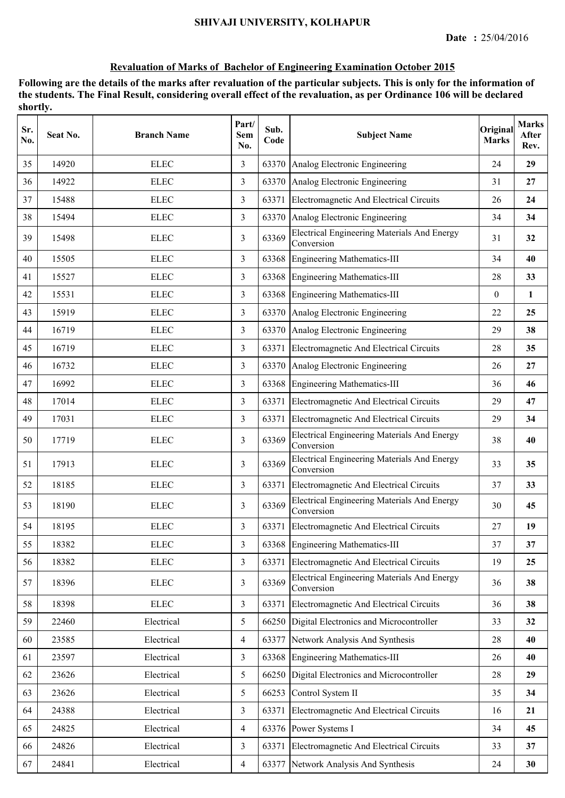| Sr.<br>No. | Seat No. | <b>Branch Name</b> | Part/<br><b>Sem</b><br>No. | Sub.<br>Code | <b>Subject Name</b>                                              | Original<br><b>Marks</b> | <b>Marks</b><br>After<br>Rev. |
|------------|----------|--------------------|----------------------------|--------------|------------------------------------------------------------------|--------------------------|-------------------------------|
| 35         | 14920    | <b>ELEC</b>        | 3                          |              | 63370 Analog Electronic Engineering                              | 24                       | 29                            |
| 36         | 14922    | <b>ELEC</b>        | $\overline{3}$             |              | 63370 Analog Electronic Engineering                              | 31                       | 27                            |
| 37         | 15488    | <b>ELEC</b>        | 3                          | 63371        | Electromagnetic And Electrical Circuits                          | 26                       | 24                            |
| 38         | 15494    | <b>ELEC</b>        | 3                          |              | 63370 Analog Electronic Engineering                              | 34                       | 34                            |
| 39         | 15498    | <b>ELEC</b>        | 3                          | 63369        | <b>Electrical Engineering Materials And Energy</b><br>Conversion | 31                       | 32                            |
| 40         | 15505    | <b>ELEC</b>        | 3                          | 63368        | Engineering Mathematics-III                                      | 34                       | 40                            |
| 41         | 15527    | <b>ELEC</b>        | 3                          | 63368        | Engineering Mathematics-III                                      | 28                       | 33                            |
| 42         | 15531    | <b>ELEC</b>        | 3                          |              | 63368 Engineering Mathematics-III                                | $\mathbf{0}$             | 1                             |
| 43         | 15919    | <b>ELEC</b>        | 3                          |              | 63370 Analog Electronic Engineering                              | 22                       | 25                            |
| 44         | 16719    | <b>ELEC</b>        | 3                          |              | 63370 Analog Electronic Engineering                              | 29                       | 38                            |
| 45         | 16719    | <b>ELEC</b>        | 3                          | 63371        | Electromagnetic And Electrical Circuits                          | 28                       | 35                            |
| 46         | 16732    | <b>ELEC</b>        | 3                          |              | 63370 Analog Electronic Engineering                              | 26                       | 27                            |
| 47         | 16992    | <b>ELEC</b>        | $\overline{3}$             |              | 63368 Engineering Mathematics-III                                | 36                       | 46                            |
| 48         | 17014    | <b>ELEC</b>        | 3                          | 63371        | Electromagnetic And Electrical Circuits                          | 29                       | 47                            |
| 49         | 17031    | <b>ELEC</b>        | 3                          | 63371        | Electromagnetic And Electrical Circuits                          | 29                       | 34                            |
| 50         | 17719    | <b>ELEC</b>        | 3                          | 63369        | <b>Electrical Engineering Materials And Energy</b><br>Conversion | 38                       | 40                            |
| 51         | 17913    | <b>ELEC</b>        | 3                          | 63369        | <b>Electrical Engineering Materials And Energy</b><br>Conversion | 33                       | 35                            |
| 52         | 18185    | <b>ELEC</b>        | 3                          | 63371        | Electromagnetic And Electrical Circuits                          | 37                       | 33                            |
| 53         | 18190    | <b>ELEC</b>        | 3                          | 63369        | <b>Electrical Engineering Materials And Energy</b><br>Conversion | 30                       | 45                            |
| 54         | 18195    | <b>ELEC</b>        | 3                          | 63371        | <b>Electromagnetic And Electrical Circuits</b>                   | 27                       | 19                            |
| 55         | 18382    | <b>ELEC</b>        | 3                          |              | 63368 Engineering Mathematics-III                                | 37                       | 37                            |
| 56         | 18382    | <b>ELEC</b>        | 3                          | 63371        | Electromagnetic And Electrical Circuits                          | 19                       | 25                            |
| 57         | 18396    | <b>ELEC</b>        | 3                          | 63369        | <b>Electrical Engineering Materials And Energy</b><br>Conversion | 36                       | 38                            |
| 58         | 18398    | <b>ELEC</b>        | $\overline{3}$             | 63371        | Electromagnetic And Electrical Circuits                          | 36                       | 38                            |
| 59         | 22460    | Electrical         | 5                          |              | 66250 Digital Electronics and Microcontroller                    | 33                       | 32                            |
| 60         | 23585    | Electrical         | $\overline{4}$             | 63377        | Network Analysis And Synthesis                                   | 28                       | 40                            |
| 61         | 23597    | Electrical         | $\overline{3}$             |              | 63368 Engineering Mathematics-III                                | 26                       | 40                            |
| 62         | 23626    | Electrical         | 5                          | 66250        | Digital Electronics and Microcontroller                          | 28                       | 29                            |
| 63         | 23626    | Electrical         | 5                          | 66253        | Control System II                                                | 35                       | 34                            |
| 64         | 24388    | Electrical         | $\overline{3}$             | 63371        | Electromagnetic And Electrical Circuits                          | 16                       | 21                            |
| 65         | 24825    | Electrical         | $\overline{4}$             |              | 63376 Power Systems I                                            | 34                       | 45                            |
| 66         | 24826    | Electrical         | $\overline{3}$             | 63371        | Electromagnetic And Electrical Circuits                          | 33                       | 37                            |
| 67         | 24841    | Electrical         | 4                          |              | 63377 Network Analysis And Synthesis                             | 24                       | 30                            |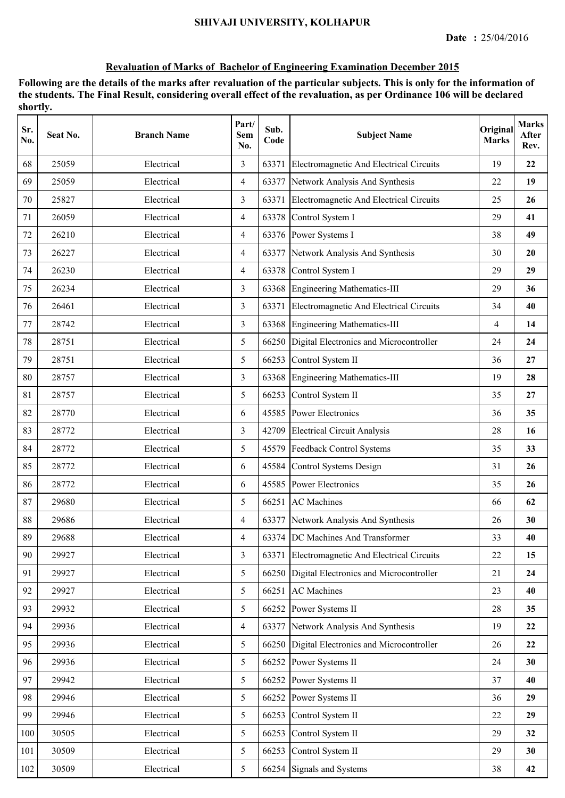| Sr.<br>No. | Seat No. | <b>Branch Name</b> | Part/<br>Sem<br>No. | Sub.<br>Code | <b>Subject Name</b>                           | Original<br><b>Marks</b> | <b>Marks</b><br>After<br>Rev. |
|------------|----------|--------------------|---------------------|--------------|-----------------------------------------------|--------------------------|-------------------------------|
| 68         | 25059    | Electrical         | 3                   | 63371        | Electromagnetic And Electrical Circuits       | 19                       | 22                            |
| 69         | 25059    | Electrical         | 4                   | 63377        | Network Analysis And Synthesis                | 22                       | 19                            |
| 70         | 25827    | Electrical         | $\overline{3}$      | 63371        | Electromagnetic And Electrical Circuits       | 25                       | 26                            |
| 71         | 26059    | Electrical         | 4                   | 63378        | Control System I                              | 29                       | 41                            |
| 72         | 26210    | Electrical         | $\overline{4}$      |              | 63376 Power Systems I                         | 38                       | 49                            |
| 73         | 26227    | Electrical         | 4                   | 63377        | Network Analysis And Synthesis                | 30                       | 20                            |
| 74         | 26230    | Electrical         | 4                   |              | 63378 Control System I                        | 29                       | 29                            |
| 75         | 26234    | Electrical         | 3                   | 63368        | Engineering Mathematics-III                   | 29                       | 36                            |
| 76         | 26461    | Electrical         | $\overline{3}$      | 63371        | Electromagnetic And Electrical Circuits       | 34                       | 40                            |
| 77         | 28742    | Electrical         | $\overline{3}$      | 63368        | Engineering Mathematics-III                   | 4                        | 14                            |
| 78         | 28751    | Electrical         | 5                   |              | 66250 Digital Electronics and Microcontroller | 24                       | 24                            |
| 79         | 28751    | Electrical         | 5                   | 66253        | Control System II                             | 36                       | 27                            |
| 80         | 28757    | Electrical         | 3                   |              | 63368 Engineering Mathematics-III             | 19                       | 28                            |
| 81         | 28757    | Electrical         | 5                   | 66253        | Control System II                             | 35                       | 27                            |
| 82         | 28770    | Electrical         | 6                   |              | 45585 Power Electronics                       | 36                       | 35                            |
| 83         | 28772    | Electrical         | 3                   |              | 42709 Electrical Circuit Analysis             | 28                       | 16                            |
| 84         | 28772    | Electrical         | 5                   | 45579        | Feedback Control Systems                      | 35                       | 33                            |
| 85         | 28772    | Electrical         | 6                   | 45584        | Control Systems Design                        | 31                       | 26                            |
| 86         | 28772    | Electrical         | 6                   | 45585        | Power Electronics                             | 35                       | 26                            |
| 87         | 29680    | Electrical         | 5                   |              | 66251 AC Machines                             | 66                       | 62                            |
| 88         | 29686    | Electrical         | $\overline{4}$      |              | 63377 Network Analysis And Synthesis          | 26                       | 30                            |
| 89         | 29688    | Electrical         | 4                   |              | 63374 DC Machines And Transformer             | 33                       | 40                            |
| 90         | 29927    | Electrical         | $\overline{3}$      | 63371        | Electromagnetic And Electrical Circuits       | 22                       | 15                            |
| 91         | 29927    | Electrical         | 5                   |              | 66250 Digital Electronics and Microcontroller | 21                       | 24                            |
| 92         | 29927    | Electrical         | 5                   | 66251        | <b>AC</b> Machines                            | 23                       | 40                            |
| 93         | 29932    | Electrical         | 5                   | 66252        | Power Systems II                              | 28                       | 35                            |
| 94         | 29936    | Electrical         | 4                   | 63377        | Network Analysis And Synthesis                | 19                       | 22                            |
| 95         | 29936    | Electrical         | 5                   |              | 66250 Digital Electronics and Microcontroller | 26                       | 22                            |
| 96         | 29936    | Electrical         | 5                   | 66252        | Power Systems II                              | 24                       | 30                            |
| 97         | 29942    | Electrical         | 5                   | 66252        | Power Systems II                              | 37                       | 40                            |
| 98         | 29946    | Electrical         | 5                   | 66252        | Power Systems II                              | 36                       | 29                            |
| 99         | 29946    | Electrical         | 5                   | 66253        | Control System II                             | 22                       | 29                            |
| 100        | 30505    | Electrical         | 5                   | 66253        | Control System II                             | 29                       | 32                            |
| 101        | 30509    | Electrical         | 5                   | 66253        | Control System II                             | 29                       | 30                            |
| 102        | 30509    | Electrical         | 5                   |              | 66254 Signals and Systems                     | 38                       | 42                            |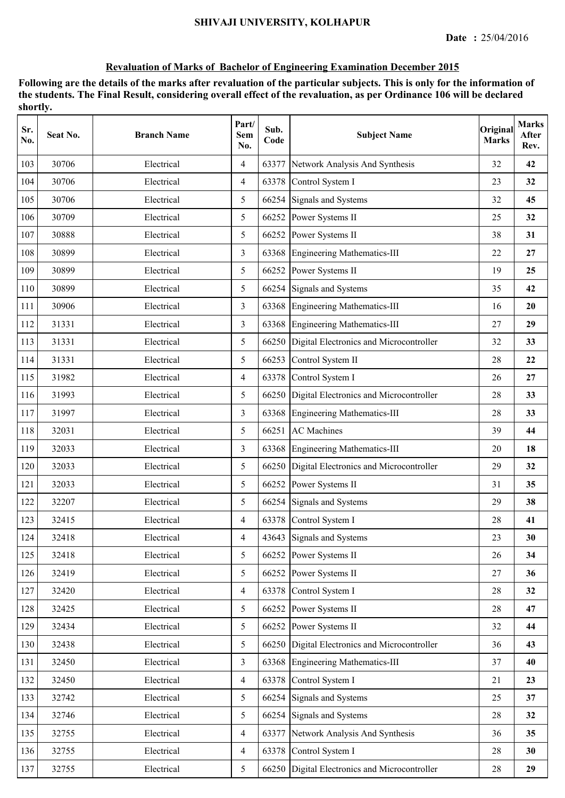| Sr.<br>No. | Seat No. | <b>Branch Name</b> | Part/<br>Sem<br>No. | Sub.<br>Code | <b>Subject Name</b>                           | Original<br><b>Marks</b> | <b>Marks</b><br>After<br>Rev. |
|------------|----------|--------------------|---------------------|--------------|-----------------------------------------------|--------------------------|-------------------------------|
| 103        | 30706    | Electrical         | 4                   | 63377        | Network Analysis And Synthesis                | 32                       | 42                            |
| 104        | 30706    | Electrical         | 4                   | 63378        | Control System I                              | 23                       | 32                            |
| 105        | 30706    | Electrical         | 5                   |              | 66254 Signals and Systems                     | 32                       | 45                            |
| 106        | 30709    | Electrical         | 5                   |              | 66252 Power Systems II                        | 25                       | 32                            |
| 107        | 30888    | Electrical         | 5                   |              | 66252 Power Systems II                        | 38                       | 31                            |
| 108        | 30899    | Electrical         | 3                   |              | 63368 Engineering Mathematics-III             | 22                       | 27                            |
| 109        | 30899    | Electrical         | 5                   | 66252        | Power Systems II                              | 19                       | 25                            |
| 110        | 30899    | Electrical         | 5                   |              | 66254 Signals and Systems                     | 35                       | 42                            |
| 111        | 30906    | Electrical         | 3                   | 63368        | Engineering Mathematics-III                   | 16                       | 20                            |
| 112        | 31331    | Electrical         | 3                   | 63368        | Engineering Mathematics-III                   | 27                       | 29                            |
| 113        | 31331    | Electrical         | 5                   |              | 66250 Digital Electronics and Microcontroller | 32                       | 33                            |
| 114        | 31331    | Electrical         | 5                   | 66253        | Control System II                             | 28                       | 22                            |
| 115        | 31982    | Electrical         | $\overline{4}$      | 63378        | Control System I                              | 26                       | 27                            |
| 116        | 31993    | Electrical         | 5                   |              | 66250 Digital Electronics and Microcontroller | 28                       | 33                            |
| 117        | 31997    | Electrical         | $\overline{3}$      | 63368        | Engineering Mathematics-III                   | 28                       | 33                            |
| 118        | 32031    | Electrical         | 5                   | 66251        | <b>AC</b> Machines                            | 39                       | 44                            |
| 119        | 32033    | Electrical         | 3                   | 63368        | Engineering Mathematics-III                   | 20                       | 18                            |
| 120        | 32033    | Electrical         | 5                   | 66250        | Digital Electronics and Microcontroller       | 29                       | 32                            |
| 121        | 32033    | Electrical         | 5                   | 66252        | Power Systems II                              | 31                       | 35                            |
| 122        | 32207    | Electrical         | 5                   |              | 66254 Signals and Systems                     | 29                       | 38                            |
| 123        | 32415    | Electrical         | $\overline{4}$      |              | 63378 Control System I                        | 28                       | 41                            |
| 124        | 32418    | Electrical         | 4                   |              | 43643 Signals and Systems                     | 23                       | 30                            |
| 125        | 32418    | Electrical         | 5                   | 66252        | Power Systems II                              | 26                       | 34                            |
| 126        | 32419    | Electrical         | 5                   |              | 66252 Power Systems II                        | 27                       | 36                            |
| 127        | 32420    | Electrical         | $\overline{4}$      | 63378        | Control System I                              | 28                       | 32                            |
| 128        | 32425    | Electrical         | 5                   | 66252        | Power Systems II                              | 28                       | 47                            |
| 129        | 32434    | Electrical         | 5                   |              | 66252 Power Systems II                        | 32                       | 44                            |
| 130        | 32438    | Electrical         | 5                   |              | 66250 Digital Electronics and Microcontroller | 36                       | 43                            |
| 131        | 32450    | Electrical         | $\overline{3}$      |              | 63368 Engineering Mathematics-III             | 37                       | 40                            |
| 132        | 32450    | Electrical         | $\overline{4}$      |              | 63378 Control System I                        | 21                       | 23                            |
| 133        | 32742    | Electrical         | 5                   |              | 66254 Signals and Systems                     | 25                       | 37                            |
| 134        | 32746    | Electrical         | 5                   |              | 66254 Signals and Systems                     | 28                       | 32                            |
| 135        | 32755    | Electrical         | $\overline{4}$      | 63377        | Network Analysis And Synthesis                | 36                       | 35                            |
| 136        | 32755    | Electrical         | $\overline{4}$      | 63378        | Control System I                              | 28                       | 30                            |
| 137        | 32755    | Electrical         | 5                   |              | 66250 Digital Electronics and Microcontroller | $28\,$                   | 29                            |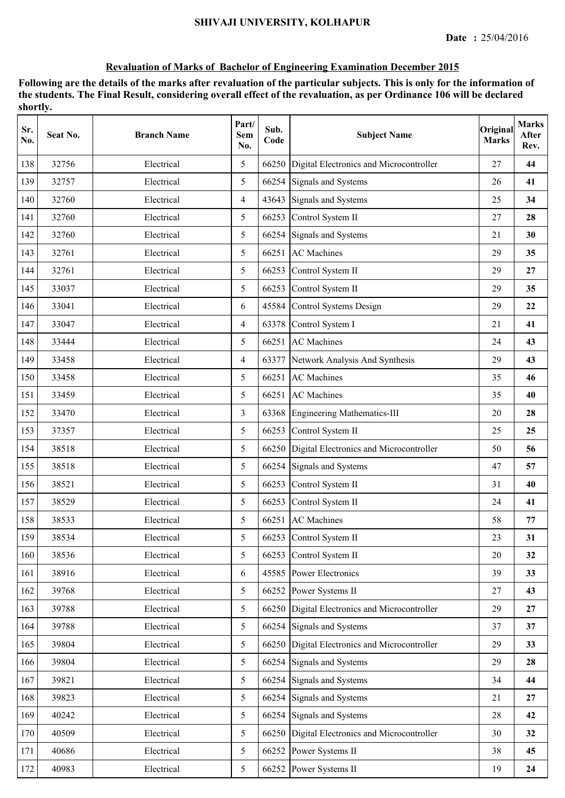| Sr.<br>No. | Seat No. | <b>Branch Name</b> | Part/<br>Sem<br>No. | Sub.<br>Code | <b>Subject Name</b>                           | Original<br><b>Marks</b> | <b>Marks</b><br>After<br>Rev. |
|------------|----------|--------------------|---------------------|--------------|-----------------------------------------------|--------------------------|-------------------------------|
| 138        | 32756    | Electrical         | 5                   | 66250        | Digital Electronics and Microcontroller       | 27                       | 44                            |
| 139        | 32757    | Electrical         | 5                   |              | 66254 Signals and Systems                     | 26                       | 41                            |
| 140        | 32760    | Electrical         | $\overline{4}$      | 43643        | Signals and Systems                           | 25                       | 34                            |
| 141        | 32760    | Electrical         | 5                   | 66253        | Control System II                             | 27                       | 28                            |
| 142        | 32760    | Electrical         | 5                   |              | 66254 Signals and Systems                     | 21                       | 30                            |
| 143        | 32761    | Electrical         | 5                   | 66251        | <b>AC</b> Machines                            | 29                       | 35                            |
| 144        | 32761    | Electrical         | 5                   | 66253        | Control System II                             | 29                       | 27                            |
| 145        | 33037    | Electrical         | 5                   | 66253        | Control System II                             | 29                       | 35                            |
| 146        | 33041    | Electrical         | 6                   | 45584        | Control Systems Design                        | 29                       | 22                            |
| 147        | 33047    | Electrical         | 4                   | 63378        | Control System I                              | 21                       | 41                            |
| 148        | 33444    | Electrical         | 5                   | 66251        | <b>AC</b> Machines                            | 24                       | 43                            |
| 149        | 33458    | Electrical         | 4                   |              | 63377 Network Analysis And Synthesis          | 29                       | 43                            |
| 150        | 33458    | Electrical         | 5                   |              | 66251 AC Machines                             | 35                       | 46                            |
| 151        | 33459    | Electrical         | 5                   | 66251        | <b>AC</b> Machines                            | 35                       | 40                            |
| 152        | 33470    | Electrical         | $\overline{3}$      | 63368        | Engineering Mathematics-III                   | 20                       | 28                            |
| 153        | 37357    | Electrical         | 5                   | 66253        | Control System II                             | 25                       | 25                            |
| 154        | 38518    | Electrical         | 5                   |              | 66250 Digital Electronics and Microcontroller | 50                       | 56                            |
| 155        | 38518    | Electrical         | 5                   |              | 66254 Signals and Systems                     | 47                       | 57                            |
| 156        | 38521    | Electrical         | 5                   | 66253        | Control System II                             | 31                       | 40                            |
| 157        | 38529    | Electrical         | 5                   | 66253        | Control System II                             | 24                       | 41                            |
| 158        | 38533    | Electrical         | 5                   |              | 66251 AC Machines                             | 58                       | 77                            |
| 159        | 38534    | Electrical         | 5                   |              | 66253 Control System II                       | 23                       | 31                            |
| 160        | 38536    | Electrical         | 5                   | 66253        | Control System II                             | 20                       | 32                            |
| 161        | 38916    | Electrical         | 6                   | 45585        | <b>Power Electronics</b>                      | 39                       | 33                            |
| 162        | 39768    | Electrical         | 5                   | 66252        | Power Systems II                              | 27                       | 43                            |
| 163        | 39788    | Electrical         | 5                   | 66250        | Digital Electronics and Microcontroller       | 29                       | 27                            |
| 164        | 39788    | Electrical         | 5                   |              | 66254 Signals and Systems                     | 37                       | 37                            |
| 165        | 39804    | Electrical         | 5                   |              | 66250 Digital Electronics and Microcontroller | 29                       | 33                            |
| 166        | 39804    | Electrical         | 5                   |              | 66254 Signals and Systems                     | 29                       | 28                            |
| 167        | 39821    | Electrical         | 5                   |              | 66254 Signals and Systems                     | 34                       | 44                            |
| 168        | 39823    | Electrical         | 5                   |              | 66254 Signals and Systems                     | 21                       | 27                            |
| 169        | 40242    | Electrical         | 5                   |              | 66254 Signals and Systems                     | 28                       | 42                            |
| 170        | 40509    | Electrical         | 5                   | 66250        | Digital Electronics and Microcontroller       | 30                       | 32                            |
| 171        | 40686    | Electrical         | 5                   | 66252        | Power Systems II                              | 38                       | 45                            |
| 172        | 40983    | Electrical         | 5                   |              | 66252 Power Systems II                        | 19                       | 24                            |